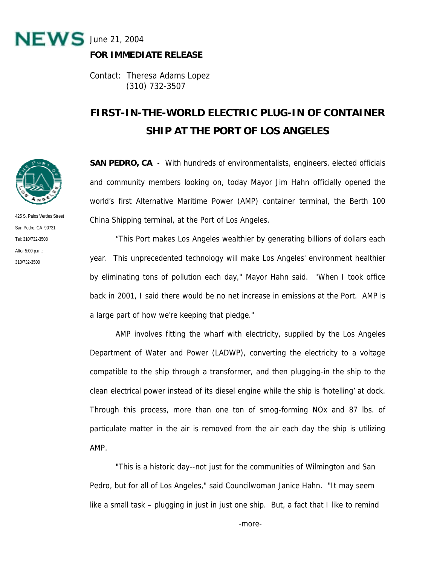

## **FOR IMMEDIATE RELEASE**

Contact: Theresa Adams Lopez (310) 732-3507

## **FIRST-IN-THE-WORLD ELECTRIC PLUG-IN OF CONTAINER SHIP AT THE PORT OF LOS ANGELES**

**SAN PEDRO, CA** - With hundreds of environmentalists, engineers, elected officials and community members looking on, today Mayor Jim Hahn officially opened the world's first Alternative Maritime Power (AMP) container terminal, the Berth 100 China Shipping terminal, at the Port of Los Angeles.

 "This Port makes Los Angeles wealthier by generating billions of dollars each year. This unprecedented technology will make Los Angeles' environment healthier by eliminating tons of pollution each day," Mayor Hahn said. "When I took office back in 2001, I said there would be no net increase in emissions at the Port. AMP is a large part of how we're keeping that pledge."

 AMP involves fitting the wharf with electricity, supplied by the Los Angeles Department of Water and Power (LADWP), converting the electricity to a voltage compatible to the ship through a transformer, and then plugging-in the ship to the clean electrical power instead of its diesel engine while the ship is 'hotelling' at dock. Through this process, more than one ton of smog-forming NOx and 87 lbs. of particulate matter in the air is removed from the air each day the ship is utilizing AMP.

"This is a historic day--not just for the communities of Wilmington and San Pedro, but for all of Los Angeles," said Councilwoman Janice Hahn. "It may seem like a small task – plugging in just in just one ship. But, a fact that I like to remind



425 S. Palos Verdes Street San Pedro, CA 90731 Tel: 310/732-3508 After 5:00 p.m.: 310/732-3500